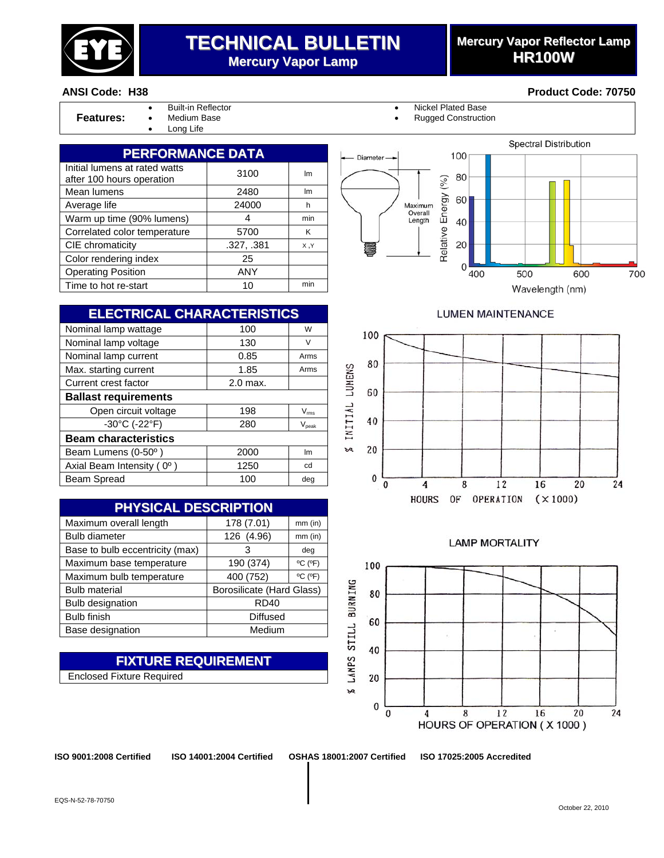

## **TECHNICAL BULLETIN Mercury Vapor Lamp**

## **Mercury Vapor Reflector Lamp HR100W**

Spectral Distribution

#### **ANSI Code: H38 Product Code: 70750**

| .c.<br>eature |  |
|---------------|--|

Long Life

• Built-in Reflector • Nickel Plated Base

Diameter

**Rugged Construction** 

Energy (%) 60

Maximum Overall<br>Length

100

80

40



| <b>ELECTRICAL CHARACTERISTICS</b>  |            |                |  |
|------------------------------------|------------|----------------|--|
| Nominal lamp wattage               | 100        | W              |  |
| Nominal lamp voltage               | 130        | V              |  |
| Nominal lamp current               | 0.85       | Arms           |  |
| Max. starting current              | 1.85       | Arms           |  |
| Current crest factor               | $2.0$ max. |                |  |
| <b>Ballast requirements</b>        |            |                |  |
| Open circuit voltage               | 198        | $V_{\rm rms}$  |  |
| $-30^{\circ}$ C (-22 $^{\circ}$ F) | 280        | $V_{\rm peak}$ |  |
| <b>Beam characteristics</b>        |            |                |  |
| Beam Lumens (0-50°)                | 2000       | Im             |  |
| Axial Beam Intensity (0°)          | 1250       | cd             |  |
| Beam Spread                        | 100        | deg            |  |

| <b>PHYSICAL DESCRIPTION</b>     |                                  |                              |  |
|---------------------------------|----------------------------------|------------------------------|--|
| Maximum overall length          | 178 (7.01)                       | $mm$ (in)                    |  |
| <b>Bulb diameter</b>            | 126 (4.96)                       | $mm$ (in)                    |  |
| Base to bulb eccentricity (max) | 3                                | deg                          |  |
| Maximum base temperature        | 190 (374)                        | $^{\circ}$ C ( $^{\circ}$ F) |  |
| Maximum bulb temperature        | 400 (752)                        | $^{\circ}$ C ( $^{\circ}$ F) |  |
| <b>Bulb material</b>            | <b>Borosilicate (Hard Glass)</b> |                              |  |
| <b>Bulb designation</b>         | <b>RD40</b>                      |                              |  |
| <b>Bulb finish</b>              | <b>Diffused</b>                  |                              |  |
| Base designation                | Medium                           |                              |  |

#### **FIXTURE REQUIREMENT** Enclosed Fixture Required

Relative 20  $\overline{0}$ 400 500 600

Wavelength (nm)

700

#### **LUMEN MAINTENANCE**



#### **LAMP MORTALITY**



**ISO 9001:2008 Certified ISO 14001:2004 Certified OSHAS 18001:2007 Certified ISO 17025:2005 Accredited**